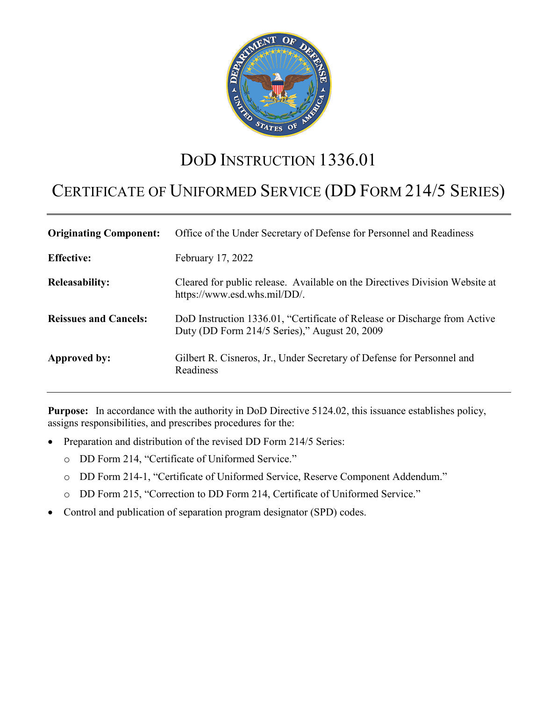

# DOD INSTRUCTION 1336.01

# CERTIFICATE OF UNIFORMED SERVICE (DD FORM 214/5 SERIES)

| <b>Originating Component:</b> | Office of the Under Secretary of Defense for Personnel and Readiness                                                       |
|-------------------------------|----------------------------------------------------------------------------------------------------------------------------|
| <b>Effective:</b>             | February 17, 2022                                                                                                          |
| <b>Releasability:</b>         | Cleared for public release. Available on the Directives Division Website at<br>https://www.esd.whs.mil/DD/.                |
| <b>Reissues and Cancels:</b>  | DoD Instruction 1336.01, "Certificate of Release or Discharge from Active<br>Duty (DD Form 214/5 Series)," August 20, 2009 |
| Approved by:                  | Gilbert R. Cisneros, Jr., Under Secretary of Defense for Personnel and<br>Readiness                                        |

**Purpose:** In accordance with the authority in DoD Directive 5124.02, this issuance establishes policy, assigns responsibilities, and prescribes procedures for the:

- Preparation and distribution of the revised DD Form 214/5 Series:
	- o DD Form 214, "Certificate of Uniformed Service."
	- o DD Form 214-1, "Certificate of Uniformed Service, Reserve Component Addendum."
	- o DD Form 215, "Correction to DD Form 214, Certificate of Uniformed Service."
- Control and publication of separation program designator (SPD) codes.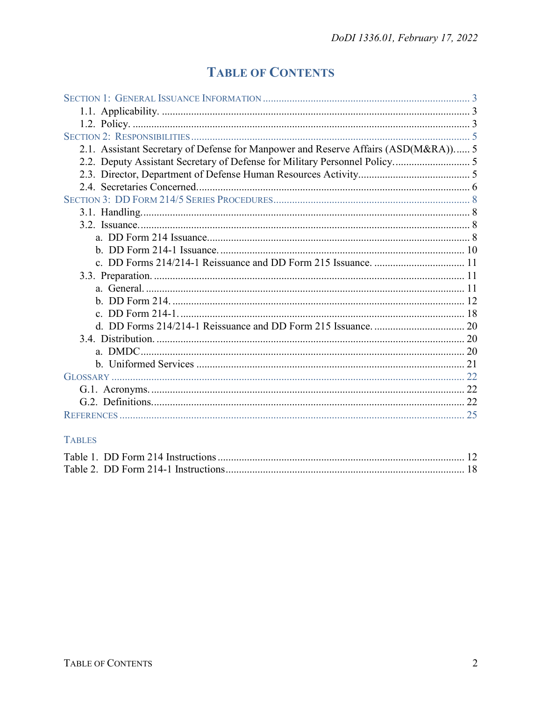## **TABLE OF CONTENTS**

| 2.1. Assistant Secretary of Defense for Manpower and Reserve Affairs (ASD(M&RA)) 5 |  |
|------------------------------------------------------------------------------------|--|
|                                                                                    |  |
|                                                                                    |  |
|                                                                                    |  |
|                                                                                    |  |
|                                                                                    |  |
|                                                                                    |  |
|                                                                                    |  |
|                                                                                    |  |
|                                                                                    |  |
|                                                                                    |  |
|                                                                                    |  |
|                                                                                    |  |
|                                                                                    |  |
|                                                                                    |  |
|                                                                                    |  |
|                                                                                    |  |
|                                                                                    |  |
|                                                                                    |  |
|                                                                                    |  |
|                                                                                    |  |
|                                                                                    |  |

## **TABLES**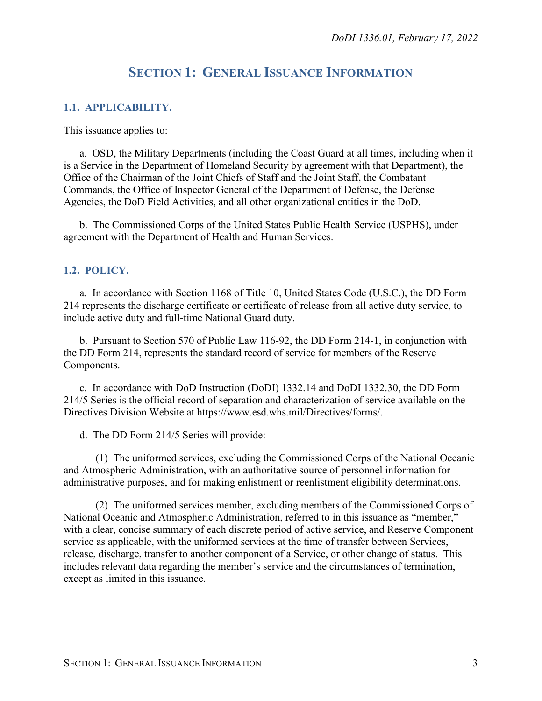## **SECTION 1: GENERAL ISSUANCE INFORMATION**

#### <span id="page-2-1"></span><span id="page-2-0"></span>**1.1. APPLICABILITY.**

This issuance applies to:

a. OSD, the Military Departments (including the Coast Guard at all times, including when it is a Service in the Department of Homeland Security by agreement with that Department), the Office of the Chairman of the Joint Chiefs of Staff and the Joint Staff, the Combatant Commands, the Office of Inspector General of the Department of Defense, the Defense Agencies, the DoD Field Activities, and all other organizational entities in the DoD.

b. The Commissioned Corps of the United States Public Health Service (USPHS), under agreement with the Department of Health and Human Services.

#### <span id="page-2-2"></span>**1.2. POLICY.**

a. In accordance with Section 1168 of Title 10, United States Code (U.S.C.), the DD Form 214 represents the discharge certificate or certificate of release from all active duty service, to include active duty and full-time National Guard duty.

b. Pursuant to Section 570 of Public Law 116-92, the DD Form 214-1, in conjunction with the DD Form 214, represents the standard record of service for members of the Reserve Components.

c. In accordance with DoD Instruction (DoDI) 1332.14 and DoDI 1332.30, the DD Form 214/5 Series is the official record of separation and characterization of service available on the Directives Division Website at https://www.esd.whs.mil/Directives/forms/.

d. The DD Form 214/5 Series will provide:

(1) The uniformed services, excluding the Commissioned Corps of the National Oceanic and Atmospheric Administration, with an authoritative source of personnel information for administrative purposes, and for making enlistment or reenlistment eligibility determinations.

(2) The uniformed services member, excluding members of the Commissioned Corps of National Oceanic and Atmospheric Administration, referred to in this issuance as "member," with a clear, concise summary of each discrete period of active service, and Reserve Component service as applicable, with the uniformed services at the time of transfer between Services, release, discharge, transfer to another component of a Service, or other change of status. This includes relevant data regarding the member's service and the circumstances of termination, except as limited in this issuance.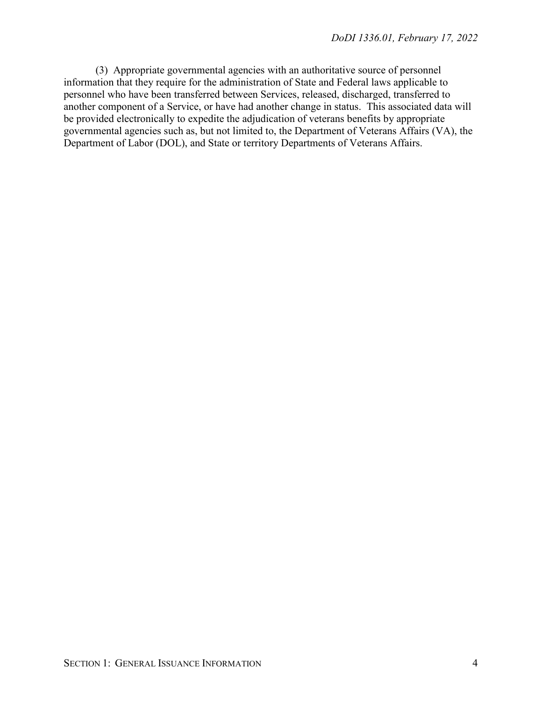(3) Appropriate governmental agencies with an authoritative source of personnel information that they require for the administration of State and Federal laws applicable to personnel who have been transferred between Services, released, discharged, transferred to another component of a Service, or have had another change in status. This associated data will be provided electronically to expedite the adjudication of veterans benefits by appropriate governmental agencies such as, but not limited to, the Department of Veterans Affairs (VA), the Department of Labor (DOL), and State or territory Departments of Veterans Affairs.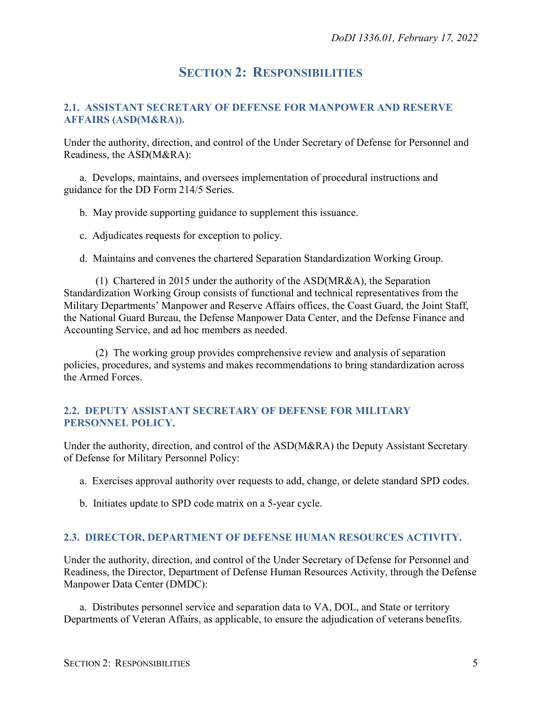## **SECTION 2: RESPONSIBILITIES**

#### <span id="page-4-1"></span><span id="page-4-0"></span>**2.1. ASSISTANT SECRETARY OF DEFENSE FOR MANPOWER AND RESERVE AFFAIRS (ASD(M&RA)).**

Under the authority, direction, and control of the Under Secretary of Defense for Personnel and Readiness, the ASD(M&RA):

a. Develops, maintains, and oversees implementation of procedural instructions and guidance for the DD Form 214/5 Series.

b. May provide supporting guidance to supplement this issuance.

c. Adjudicates requests for exception to policy.

d. Maintains and convenes the chartered Separation Standardization Working Group.

(1) Chartered in 2015 under the authority of the ASD(MR&A), the Separation Standardization Working Group consists of functional and technical representatives from the Military Departments' Manpower and Reserve Affairs offices, the Coast Guard, the Joint Staff, the National Guard Bureau, the Defense Manpower Data Center, and the Defense Finance and Accounting Service, and ad hoc members as needed.

(2) The working group provides comprehensive review and analysis of separation policies, procedures, and systems and makes recommendations to bring standardization across the Armed Forces.

#### <span id="page-4-2"></span>**2.2. DEPUTY ASSISTANT SECRETARY OF DEFENSE FOR MILITARY PERSONNEL POLICY.**

Under the authority, direction, and control of the ASD(M&RA) the Deputy Assistant Secretary of Defense for Military Personnel Policy:

- a. Exercises approval authority over requests to add, change, or delete standard SPD codes.
- b. Initiates update to SPD code matrix on a 5-year cycle.

#### <span id="page-4-3"></span>**2.3. DIRECTOR, DEPARTMENT OF DEFENSE HUMAN RESOURCES ACTIVITY.**

Under the authority, direction, and control of the Under Secretary of Defense for Personnel and Readiness, the Director, Department of Defense Human Resources Activity, through the Defense Manpower Data Center (DMDC):

a. Distributes personnel service and separation data to VA, DOL, and State or territory Departments of Veteran Affairs, as applicable, to ensure the adjudication of veterans benefits.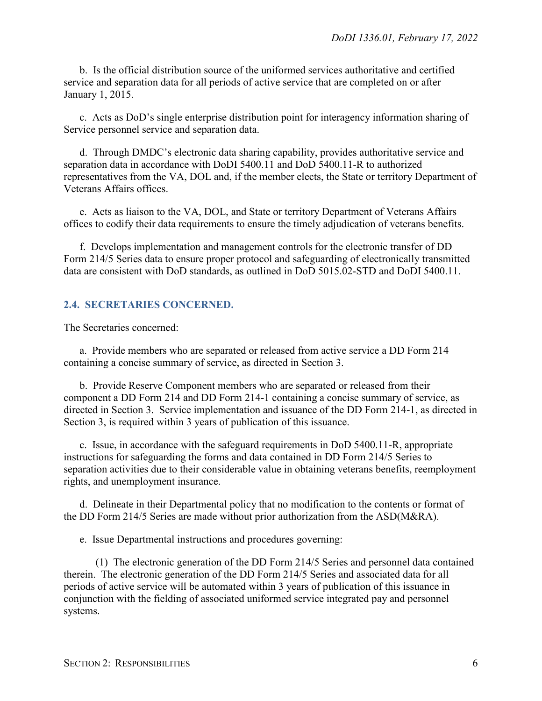b. Is the official distribution source of the uniformed services authoritative and certified service and separation data for all periods of active service that are completed on or after January 1, 2015.

c. Acts as DoD's single enterprise distribution point for interagency information sharing of Service personnel service and separation data.

d. Through DMDC's electronic data sharing capability, provides authoritative service and separation data in accordance with DoDI 5400.11 and DoD 5400.11-R to authorized representatives from the VA, DOL and, if the member elects, the State or territory Department of Veterans Affairs offices.

e. Acts as liaison to the VA, DOL, and State or territory Department of Veterans Affairs offices to codify their data requirements to ensure the timely adjudication of veterans benefits.

f. Develops implementation and management controls for the electronic transfer of DD Form 214/5 Series data to ensure proper protocol and safeguarding of electronically transmitted data are consistent with DoD standards, as outlined in DoD 5015.02-STD and DoDI 5400.11.

#### <span id="page-5-0"></span>**2.4. SECRETARIES CONCERNED.**

The Secretaries concerned:

a. Provide members who are separated or released from active service a DD Form 214 containing a concise summary of service, as directed in Section 3.

b. Provide Reserve Component members who are separated or released from their component a DD Form 214 and DD Form 214-1 containing a concise summary of service, as directed in Section 3. Service implementation and issuance of the DD Form 214-1, as directed in Section 3, is required within 3 years of publication of this issuance.

c. Issue, in accordance with the safeguard requirements in DoD 5400.11-R, appropriate instructions for safeguarding the forms and data contained in DD Form 214/5 Series to separation activities due to their considerable value in obtaining veterans benefits, reemployment rights, and unemployment insurance.

d. Delineate in their Departmental policy that no modification to the contents or format of the DD Form 214/5 Series are made without prior authorization from the ASD(M&RA).

e. Issue Departmental instructions and procedures governing:

(1) The electronic generation of the DD Form 214/5 Series and personnel data contained therein. The electronic generation of the DD Form 214/5 Series and associated data for all periods of active service will be automated within 3 years of publication of this issuance in conjunction with the fielding of associated uniformed service integrated pay and personnel systems.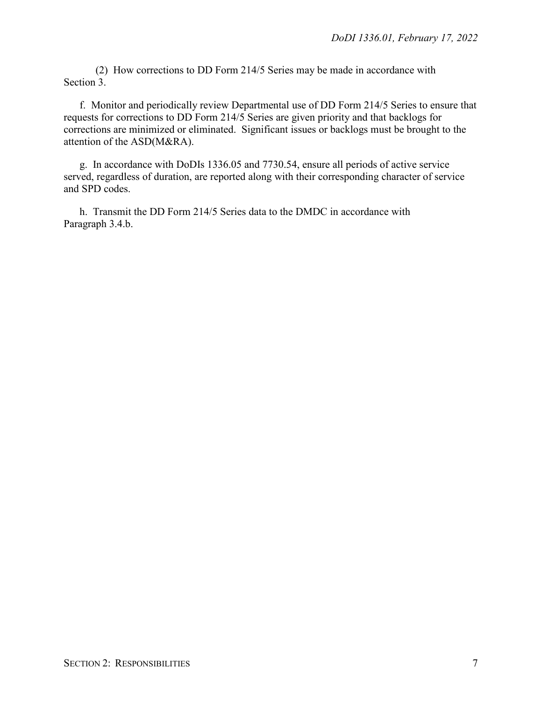(2) How corrections to DD Form 214/5 Series may be made in accordance with Section 3.

f. Monitor and periodically review Departmental use of DD Form 214/5 Series to ensure that requests for corrections to DD Form 214/5 Series are given priority and that backlogs for corrections are minimized or eliminated. Significant issues or backlogs must be brought to the attention of the ASD(M&RA).

g. In accordance with DoDIs 1336.05 and 7730.54, ensure all periods of active service served, regardless of duration, are reported along with their corresponding character of service and SPD codes.

h. Transmit the DD Form 214/5 Series data to the DMDC in accordance with Paragraph 3.4.b.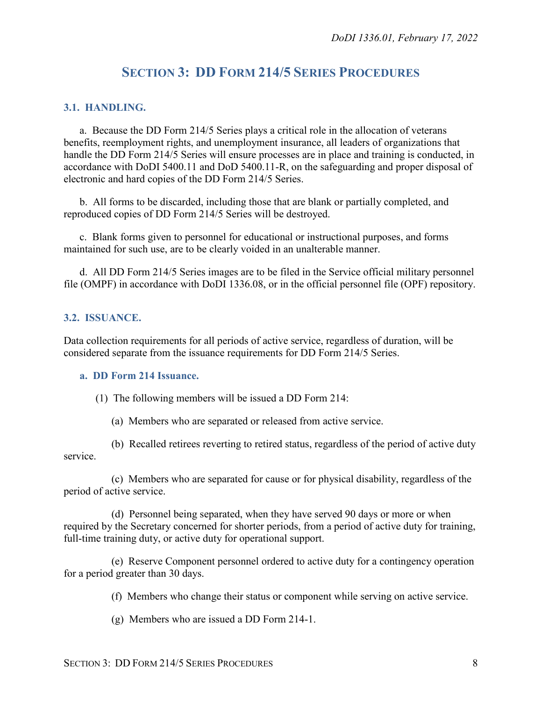## **SECTION 3: DD FORM 214/5 SERIES PROCEDURES**

#### <span id="page-7-1"></span><span id="page-7-0"></span>**3.1. HANDLING.**

a. Because the DD Form 214/5 Series plays a critical role in the allocation of veterans benefits, reemployment rights, and unemployment insurance, all leaders of organizations that handle the DD Form 214/5 Series will ensure processes are in place and training is conducted, in accordance with DoDI 5400.11 and DoD 5400.11-R, on the safeguarding and proper disposal of electronic and hard copies of the DD Form 214/5 Series.

b. All forms to be discarded, including those that are blank or partially completed, and reproduced copies of DD Form 214/5 Series will be destroyed.

c. Blank forms given to personnel for educational or instructional purposes, and forms maintained for such use, are to be clearly voided in an unalterable manner.

d. All DD Form 214/5 Series images are to be filed in the Service official military personnel file (OMPF) in accordance with DoDI 1336.08, or in the official personnel file (OPF) repository.

#### <span id="page-7-2"></span>**3.2. ISSUANCE.**

Data collection requirements for all periods of active service, regardless of duration, will be considered separate from the issuance requirements for DD Form 214/5 Series.

#### <span id="page-7-3"></span>**a. DD Form 214 Issuance.**

(1) The following members will be issued a DD Form 214:

(a) Members who are separated or released from active service.

(b) Recalled retirees reverting to retired status, regardless of the period of active duty service.

(c) Members who are separated for cause or for physical disability, regardless of the period of active service.

(d) Personnel being separated, when they have served 90 days or more or when required by the Secretary concerned for shorter periods, from a period of active duty for training, full-time training duty, or active duty for operational support.

(e) Reserve Component personnel ordered to active duty for a contingency operation for a period greater than 30 days.

(f) Members who change their status or component while serving on active service.

(g) Members who are issued a DD Form 214-1.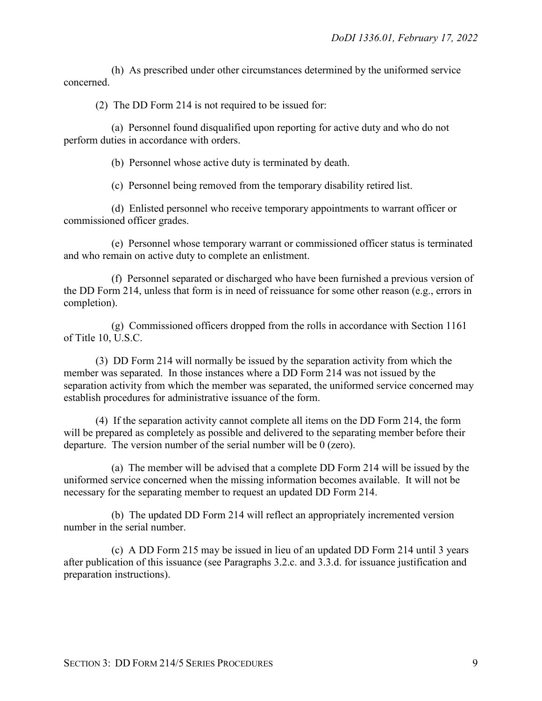(h) As prescribed under other circumstances determined by the uniformed service concerned.

(2) The DD Form 214 is not required to be issued for:

(a) Personnel found disqualified upon reporting for active duty and who do not perform duties in accordance with orders.

(b) Personnel whose active duty is terminated by death.

(c) Personnel being removed from the temporary disability retired list.

(d) Enlisted personnel who receive temporary appointments to warrant officer or commissioned officer grades.

(e) Personnel whose temporary warrant or commissioned officer status is terminated and who remain on active duty to complete an enlistment.

(f) Personnel separated or discharged who have been furnished a previous version of the DD Form 214, unless that form is in need of reissuance for some other reason (e.g., errors in completion).

(g) Commissioned officers dropped from the rolls in accordance with Section 1161 of Title 10, U.S.C.

(3) DD Form 214 will normally be issued by the separation activity from which the member was separated. In those instances where a DD Form 214 was not issued by the separation activity from which the member was separated, the uniformed service concerned may establish procedures for administrative issuance of the form.

(4) If the separation activity cannot complete all items on the DD Form 214, the form will be prepared as completely as possible and delivered to the separating member before their departure. The version number of the serial number will be 0 (zero).

(a) The member will be advised that a complete DD Form 214 will be issued by the uniformed service concerned when the missing information becomes available. It will not be necessary for the separating member to request an updated DD Form 214.

(b) The updated DD Form 214 will reflect an appropriately incremented version number in the serial number.

(c) A DD Form 215 may be issued in lieu of an updated DD Form 214 until 3 years after publication of this issuance (see Paragraphs 3.2.c. and 3.3.d. for issuance justification and preparation instructions).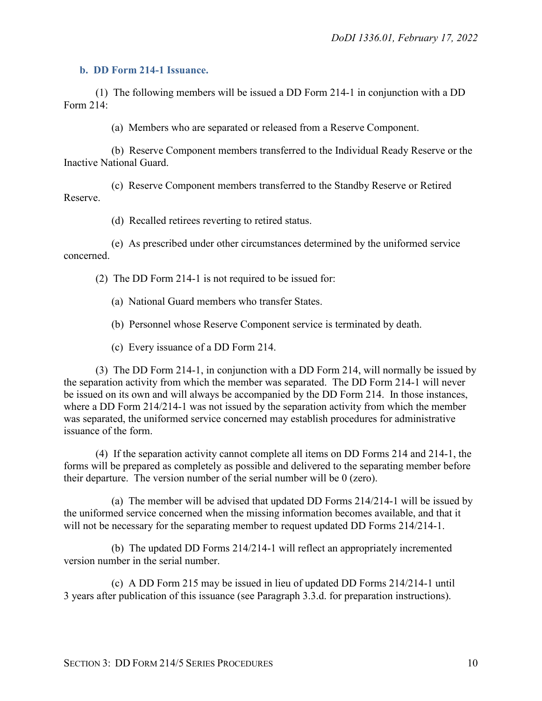#### <span id="page-9-0"></span>**b. DD Form 214-1 Issuance.**

(1) The following members will be issued a DD Form 214-1 in conjunction with a DD Form 214:

(a) Members who are separated or released from a Reserve Component.

(b) Reserve Component members transferred to the Individual Ready Reserve or the Inactive National Guard.

(c) Reserve Component members transferred to the Standby Reserve or Retired Reserve.

(d) Recalled retirees reverting to retired status.

(e) As prescribed under other circumstances determined by the uniformed service concerned.

(2) The DD Form 214-1 is not required to be issued for:

(a) National Guard members who transfer States.

(b) Personnel whose Reserve Component service is terminated by death.

(c) Every issuance of a DD Form 214.

(3) The DD Form 214-1, in conjunction with a DD Form 214, will normally be issued by the separation activity from which the member was separated. The DD Form 214-1 will never be issued on its own and will always be accompanied by the DD Form 214. In those instances, where a DD Form 214/214-1 was not issued by the separation activity from which the member was separated, the uniformed service concerned may establish procedures for administrative issuance of the form.

(4) If the separation activity cannot complete all items on DD Forms 214 and 214-1, the forms will be prepared as completely as possible and delivered to the separating member before their departure. The version number of the serial number will be 0 (zero).

(a) The member will be advised that updated DD Forms 214/214-1 will be issued by the uniformed service concerned when the missing information becomes available, and that it will not be necessary for the separating member to request updated DD Forms 214/214-1.

(b) The updated DD Forms 214/214-1 will reflect an appropriately incremented version number in the serial number.

(c) A DD Form 215 may be issued in lieu of updated DD Forms 214/214-1 until 3 years after publication of this issuance (see Paragraph 3.3.d. for preparation instructions).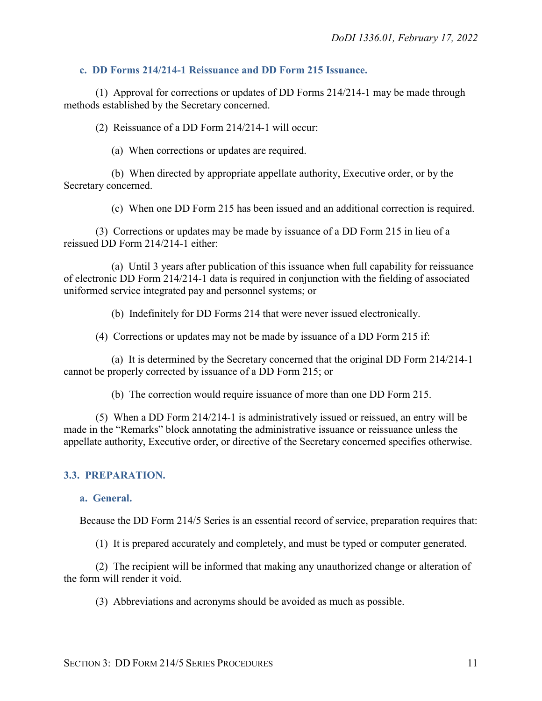#### <span id="page-10-0"></span>**c. DD Forms 214/214-1 Reissuance and DD Form 215 Issuance.**

(1) Approval for corrections or updates of DD Forms 214/214-1 may be made through methods established by the Secretary concerned.

(2) Reissuance of a DD Form 214/214-1 will occur:

(a) When corrections or updates are required.

(b) When directed by appropriate appellate authority, Executive order, or by the Secretary concerned.

(c) When one DD Form 215 has been issued and an additional correction is required.

(3) Corrections or updates may be made by issuance of a DD Form 215 in lieu of a reissued DD Form 214/214-1 either:

(a) Until 3 years after publication of this issuance when full capability for reissuance of electronic DD Form 214/214-1 data is required in conjunction with the fielding of associated uniformed service integrated pay and personnel systems; or

(b) Indefinitely for DD Forms 214 that were never issued electronically.

(4) Corrections or updates may not be made by issuance of a DD Form 215 if:

(a) It is determined by the Secretary concerned that the original DD Form 214/214-1 cannot be properly corrected by issuance of a DD Form 215; or

(b) The correction would require issuance of more than one DD Form 215.

(5) When a DD Form 214/214-1 is administratively issued or reissued, an entry will be made in the "Remarks" block annotating the administrative issuance or reissuance unless the appellate authority, Executive order, or directive of the Secretary concerned specifies otherwise.

#### <span id="page-10-1"></span>**3.3. PREPARATION.**

<span id="page-10-2"></span>**a. General.** 

Because the DD Form 214/5 Series is an essential record of service, preparation requires that:

(1) It is prepared accurately and completely, and must be typed or computer generated.

(2) The recipient will be informed that making any unauthorized change or alteration of the form will render it void.

(3) Abbreviations and acronyms should be avoided as much as possible.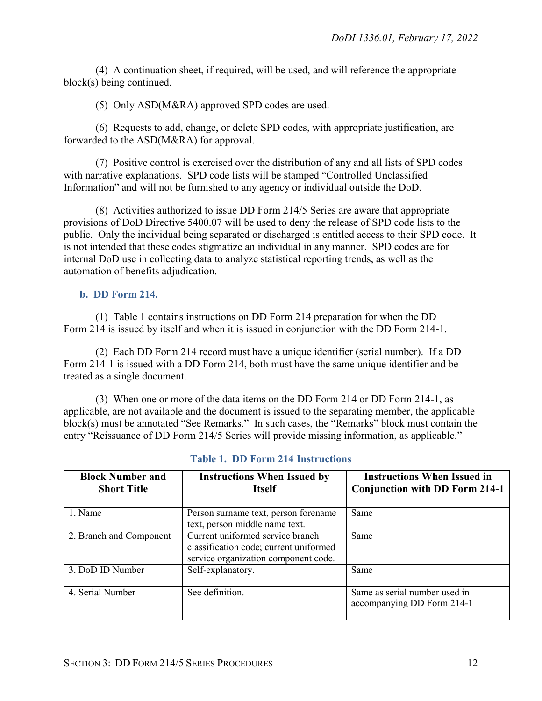(4) A continuation sheet, if required, will be used, and will reference the appropriate block(s) being continued.

(5) Only ASD(M&RA) approved SPD codes are used.

(6) Requests to add, change, or delete SPD codes, with appropriate justification, are forwarded to the ASD(M&RA) for approval.

(7) Positive control is exercised over the distribution of any and all lists of SPD codes with narrative explanations. SPD code lists will be stamped "Controlled Unclassified Information" and will not be furnished to any agency or individual outside the DoD.

(8) Activities authorized to issue DD Form 214/5 Series are aware that appropriate provisions of DoD Directive 5400.07 will be used to deny the release of SPD code lists to the public. Only the individual being separated or discharged is entitled access to their SPD code. It is not intended that these codes stigmatize an individual in any manner. SPD codes are for internal DoD use in collecting data to analyze statistical reporting trends, as well as the automation of benefits adjudication.

#### <span id="page-11-0"></span>**b. DD Form 214.**

(1) Table 1 contains instructions on DD Form 214 preparation for when the DD Form 214 is issued by itself and when it is issued in conjunction with the DD Form 214-1.

(2) Each DD Form 214 record must have a unique identifier (serial number). If a DD Form 214-1 is issued with a DD Form 214, both must have the same unique identifier and be treated as a single document.

(3) When one or more of the data items on the DD Form 214 or DD Form 214-1, as applicable, are not available and the document is issued to the separating member, the applicable block(s) must be annotated "See Remarks." In such cases, the "Remarks" block must contain the entry "Reissuance of DD Form 214/5 Series will provide missing information, as applicable."

| <b>Block Number and</b><br><b>Short Title</b> | <b>Instructions When Issued by</b><br><b>Itself</b>                                                                | <b>Instructions When Issued in</b><br><b>Conjunction with DD Form 214-1</b> |
|-----------------------------------------------|--------------------------------------------------------------------------------------------------------------------|-----------------------------------------------------------------------------|
| 1. Name                                       | Person surname text, person forename<br>text, person middle name text.                                             | Same                                                                        |
| 2. Branch and Component                       | Current uniformed service branch<br>classification code; current uniformed<br>service organization component code. | Same                                                                        |
| 3. DoD ID Number                              | Self-explanatory.                                                                                                  | Same                                                                        |
| 4. Serial Number                              | See definition.                                                                                                    | Same as serial number used in<br>accompanying DD Form 214-1                 |

#### **Table 1. DD Form 214 Instructions**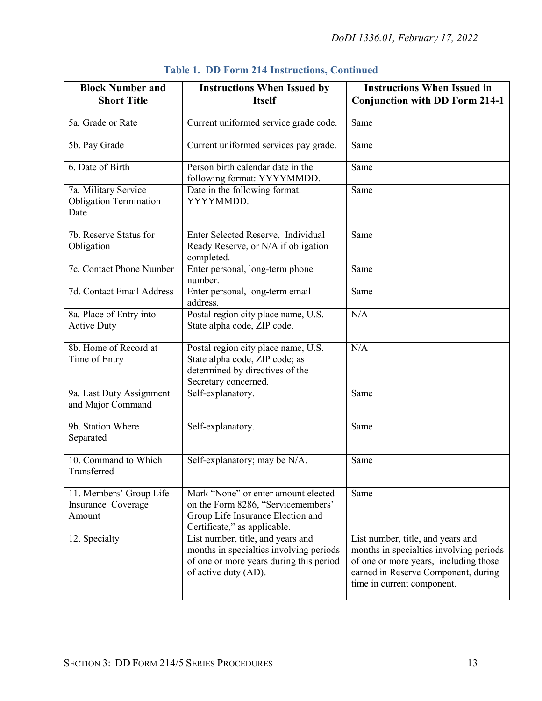| <b>Block Number and</b><br><b>Short Title</b>                 | <b>Instructions When Issued by</b><br><b>Itself</b>                                                                                             | <b>Instructions When Issued in</b>                                                                                                                                                         |  |
|---------------------------------------------------------------|-------------------------------------------------------------------------------------------------------------------------------------------------|--------------------------------------------------------------------------------------------------------------------------------------------------------------------------------------------|--|
|                                                               |                                                                                                                                                 | <b>Conjunction with DD Form 214-1</b>                                                                                                                                                      |  |
| 5a. Grade or Rate                                             | Current uniformed service grade code.                                                                                                           | Same                                                                                                                                                                                       |  |
| 5b. Pay Grade                                                 | Current uniformed services pay grade.                                                                                                           | Same                                                                                                                                                                                       |  |
| 6. Date of Birth                                              | Person birth calendar date in the<br>following format: YYYYMMDD.                                                                                | Same                                                                                                                                                                                       |  |
| 7a. Military Service<br><b>Obligation Termination</b><br>Date | Date in the following format:<br>YYYYMMDD.                                                                                                      | Same                                                                                                                                                                                       |  |
| 7b. Reserve Status for<br>Obligation                          | Enter Selected Reserve, Individual<br>Ready Reserve, or N/A if obligation<br>completed.                                                         | Same                                                                                                                                                                                       |  |
| 7c. Contact Phone Number                                      | Enter personal, long-term phone<br>number.                                                                                                      | Same                                                                                                                                                                                       |  |
| 7d. Contact Email Address                                     | Enter personal, long-term email<br>address.                                                                                                     | Same                                                                                                                                                                                       |  |
| 8a. Place of Entry into<br><b>Active Duty</b>                 | Postal region city place name, U.S.<br>State alpha code, ZIP code.                                                                              | N/A                                                                                                                                                                                        |  |
| 8b. Home of Record at<br>Time of Entry                        | Postal region city place name, U.S.<br>State alpha code, ZIP code; as<br>determined by directives of the<br>Secretary concerned.                | N/A                                                                                                                                                                                        |  |
| 9a. Last Duty Assignment<br>and Major Command                 | Self-explanatory.                                                                                                                               | Same                                                                                                                                                                                       |  |
| 9b. Station Where<br>Separated                                | Self-explanatory.                                                                                                                               | Same                                                                                                                                                                                       |  |
| 10. Command to Which<br>Transferred                           | Self-explanatory; may be N/A.                                                                                                                   | Same                                                                                                                                                                                       |  |
| 11. Members' Group Life<br>Insurance Coverage<br>Amount       | Mark "None" or enter amount elected<br>on the Form 8286, "Servicemembers'<br>Group Life Insurance Election and<br>Certificate," as applicable.  | Same                                                                                                                                                                                       |  |
| 12. Specialty                                                 | List number, title, and years and<br>months in specialties involving periods<br>of one or more years during this period<br>of active duty (AD). | List number, title, and years and<br>months in specialties involving periods<br>of one or more years, including those<br>earned in Reserve Component, during<br>time in current component. |  |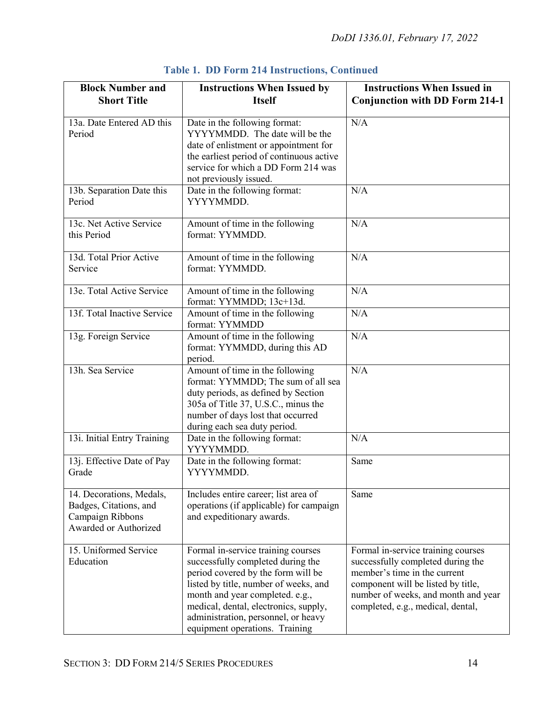| <b>Block Number and</b><br><b>Short Title</b>                                                   | <b>Instructions When Issued by</b><br><b>Itself</b>                                                                                                                                                                                                                                                         | <b>Instructions When Issued in</b><br><b>Conjunction with DD Form 214-1</b>                                                                                                                                               |  |
|-------------------------------------------------------------------------------------------------|-------------------------------------------------------------------------------------------------------------------------------------------------------------------------------------------------------------------------------------------------------------------------------------------------------------|---------------------------------------------------------------------------------------------------------------------------------------------------------------------------------------------------------------------------|--|
| 13a. Date Entered AD this<br>Period                                                             | Date in the following format:<br>YYYYMMDD. The date will be the<br>date of enlistment or appointment for<br>the earliest period of continuous active<br>service for which a DD Form 214 was<br>not previously issued.                                                                                       | N/A                                                                                                                                                                                                                       |  |
| 13b. Separation Date this<br>Period                                                             | Date in the following format:<br>YYYYMMDD.                                                                                                                                                                                                                                                                  | N/A                                                                                                                                                                                                                       |  |
| 13c. Net Active Service<br>this Period                                                          | Amount of time in the following<br>format: YYMMDD.                                                                                                                                                                                                                                                          | N/A                                                                                                                                                                                                                       |  |
| 13d. Total Prior Active<br>Service                                                              | Amount of time in the following<br>format: YYMMDD.                                                                                                                                                                                                                                                          | N/A                                                                                                                                                                                                                       |  |
| 13e. Total Active Service                                                                       | Amount of time in the following<br>format: YYMMDD; 13c+13d.                                                                                                                                                                                                                                                 | N/A                                                                                                                                                                                                                       |  |
| 13f. Total Inactive Service                                                                     | Amount of time in the following<br>format: YYMMDD                                                                                                                                                                                                                                                           | N/A                                                                                                                                                                                                                       |  |
| 13g. Foreign Service                                                                            | Amount of time in the following<br>format: YYMMDD, during this AD<br>period.                                                                                                                                                                                                                                | N/A                                                                                                                                                                                                                       |  |
| 13h. Sea Service                                                                                | Amount of time in the following<br>format: YYMMDD; The sum of all sea<br>duty periods, as defined by Section<br>305a of Title 37, U.S.C., minus the<br>number of days lost that occurred<br>during each sea duty period.                                                                                    | N/A                                                                                                                                                                                                                       |  |
| 13i. Initial Entry Training                                                                     | Date in the following format:<br>YYYYMMDD.                                                                                                                                                                                                                                                                  | N/A                                                                                                                                                                                                                       |  |
| 13j. Effective Date of Pay<br>Grade                                                             | Date in the following format:<br>YYYYMMDD.                                                                                                                                                                                                                                                                  | Same                                                                                                                                                                                                                      |  |
| 14. Decorations, Medals,<br>Badges, Citations, and<br>Campaign Ribbons<br>Awarded or Authorized | Includes entire career; list area of<br>operations (if applicable) for campaign<br>and expeditionary awards.                                                                                                                                                                                                | Same                                                                                                                                                                                                                      |  |
| 15. Uniformed Service<br>Education                                                              | Formal in-service training courses<br>successfully completed during the<br>period covered by the form will be<br>listed by title, number of weeks, and<br>month and year completed. e.g.,<br>medical, dental, electronics, supply,<br>administration, personnel, or heavy<br>equipment operations. Training | Formal in-service training courses<br>successfully completed during the<br>member's time in the current<br>component will be listed by title,<br>number of weeks, and month and year<br>completed, e.g., medical, dental, |  |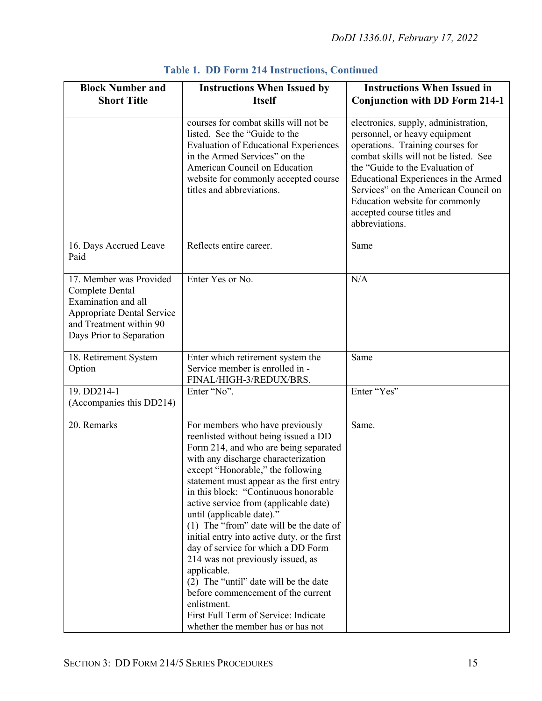| <b>Block Number and</b><br><b>Short Title</b>                                                                                                                 | <b>Instructions When Issued by</b><br><b>Itself</b>                                                                                                                                                                                                                                                                                                                                                                                                                                                                                                                                                                                                                                                                    | <b>Instructions When Issued in</b><br><b>Conjunction with DD Form 214-1</b>                                                                                                                                                                                                                                                                             |
|---------------------------------------------------------------------------------------------------------------------------------------------------------------|------------------------------------------------------------------------------------------------------------------------------------------------------------------------------------------------------------------------------------------------------------------------------------------------------------------------------------------------------------------------------------------------------------------------------------------------------------------------------------------------------------------------------------------------------------------------------------------------------------------------------------------------------------------------------------------------------------------------|---------------------------------------------------------------------------------------------------------------------------------------------------------------------------------------------------------------------------------------------------------------------------------------------------------------------------------------------------------|
|                                                                                                                                                               | courses for combat skills will not be<br>listed. See the "Guide to the<br><b>Evaluation of Educational Experiences</b><br>in the Armed Services" on the<br>American Council on Education<br>website for commonly accepted course<br>titles and abbreviations.                                                                                                                                                                                                                                                                                                                                                                                                                                                          | electronics, supply, administration,<br>personnel, or heavy equipment<br>operations. Training courses for<br>combat skills will not be listed. See<br>the "Guide to the Evaluation of<br>Educational Experiences in the Armed<br>Services" on the American Council on<br>Education website for commonly<br>accepted course titles and<br>abbreviations. |
| 16. Days Accrued Leave<br>Paid                                                                                                                                | Reflects entire career.                                                                                                                                                                                                                                                                                                                                                                                                                                                                                                                                                                                                                                                                                                | Same                                                                                                                                                                                                                                                                                                                                                    |
| 17. Member was Provided<br>Complete Dental<br>Examination and all<br><b>Appropriate Dental Service</b><br>and Treatment within 90<br>Days Prior to Separation | Enter Yes or No.                                                                                                                                                                                                                                                                                                                                                                                                                                                                                                                                                                                                                                                                                                       | N/A                                                                                                                                                                                                                                                                                                                                                     |
| 18. Retirement System<br>Option                                                                                                                               | Enter which retirement system the<br>Service member is enrolled in -<br>FINAL/HIGH-3/REDUX/BRS.                                                                                                                                                                                                                                                                                                                                                                                                                                                                                                                                                                                                                        | Same                                                                                                                                                                                                                                                                                                                                                    |
| 19. DD214-1<br>(Accompanies this DD214)                                                                                                                       | Enter "No".                                                                                                                                                                                                                                                                                                                                                                                                                                                                                                                                                                                                                                                                                                            | Enter "Yes"                                                                                                                                                                                                                                                                                                                                             |
| 20. Remarks                                                                                                                                                   | For members who have previously<br>reenlisted without being issued a DD<br>Form 214, and who are being separated<br>with any discharge characterization<br>except "Honorable," the following<br>statement must appear as the first entry<br>in this block: "Continuous honorable<br>active service from (applicable date)<br>until (applicable date)."<br>(1) The "from" date will be the date of<br>initial entry into active duty, or the first<br>day of service for which a DD Form<br>214 was not previously issued, as<br>applicable.<br>(2) The "until" date will be the date<br>before commencement of the current<br>enlistment.<br>First Full Term of Service: Indicate<br>whether the member has or has not | Same.                                                                                                                                                                                                                                                                                                                                                   |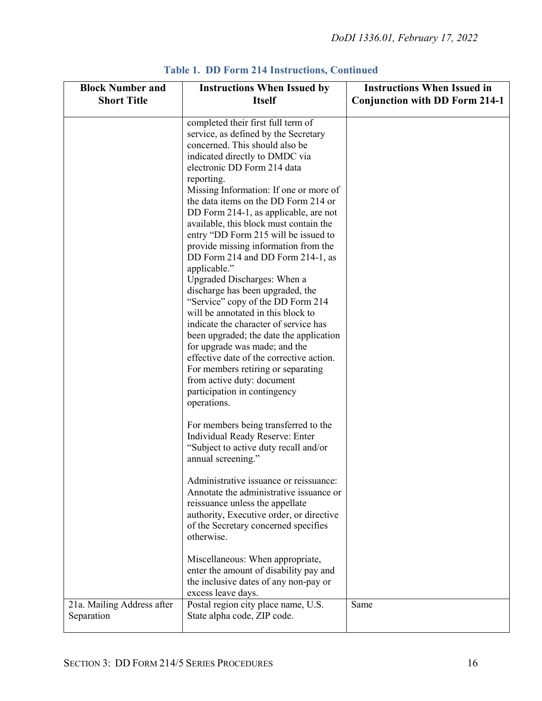| <b>Block Number and</b><br><b>Short Title</b> | <b>Instructions When Issued by</b><br><b>Itself</b>                                                                                                                                                                                                                                                                                                                                                                                                                                                                                                                                                                                                                                                                                                                                                                                                                                                                                     | <b>Instructions When Issued in</b><br><b>Conjunction with DD Form 214-1</b> |
|-----------------------------------------------|-----------------------------------------------------------------------------------------------------------------------------------------------------------------------------------------------------------------------------------------------------------------------------------------------------------------------------------------------------------------------------------------------------------------------------------------------------------------------------------------------------------------------------------------------------------------------------------------------------------------------------------------------------------------------------------------------------------------------------------------------------------------------------------------------------------------------------------------------------------------------------------------------------------------------------------------|-----------------------------------------------------------------------------|
|                                               | completed their first full term of<br>service, as defined by the Secretary<br>concerned. This should also be<br>indicated directly to DMDC via<br>electronic DD Form 214 data<br>reporting.<br>Missing Information: If one or more of<br>the data items on the DD Form 214 or<br>DD Form 214-1, as applicable, are not<br>available, this block must contain the<br>entry "DD Form 215 will be issued to<br>provide missing information from the<br>DD Form 214 and DD Form 214-1, as<br>applicable."<br>Upgraded Discharges: When a<br>discharge has been upgraded, the<br>"Service" copy of the DD Form 214<br>will be annotated in this block to<br>indicate the character of service has<br>been upgraded; the date the application<br>for upgrade was made; and the<br>effective date of the corrective action.<br>For members retiring or separating<br>from active duty: document<br>participation in contingency<br>operations. |                                                                             |
|                                               | For members being transferred to the<br>Individual Ready Reserve: Enter<br>"Subject to active duty recall and/or<br>annual screening."                                                                                                                                                                                                                                                                                                                                                                                                                                                                                                                                                                                                                                                                                                                                                                                                  |                                                                             |
|                                               | Administrative issuance or reissuance:<br>Annotate the administrative issuance or<br>reissuance unless the appellate<br>authority, Executive order, or directive<br>of the Secretary concerned specifies<br>otherwise.                                                                                                                                                                                                                                                                                                                                                                                                                                                                                                                                                                                                                                                                                                                  |                                                                             |
|                                               | Miscellaneous: When appropriate,<br>enter the amount of disability pay and<br>the inclusive dates of any non-pay or<br>excess leave days.                                                                                                                                                                                                                                                                                                                                                                                                                                                                                                                                                                                                                                                                                                                                                                                               |                                                                             |
| 21a. Mailing Address after<br>Separation      | Postal region city place name, U.S.<br>State alpha code, ZIP code.                                                                                                                                                                                                                                                                                                                                                                                                                                                                                                                                                                                                                                                                                                                                                                                                                                                                      | Same                                                                        |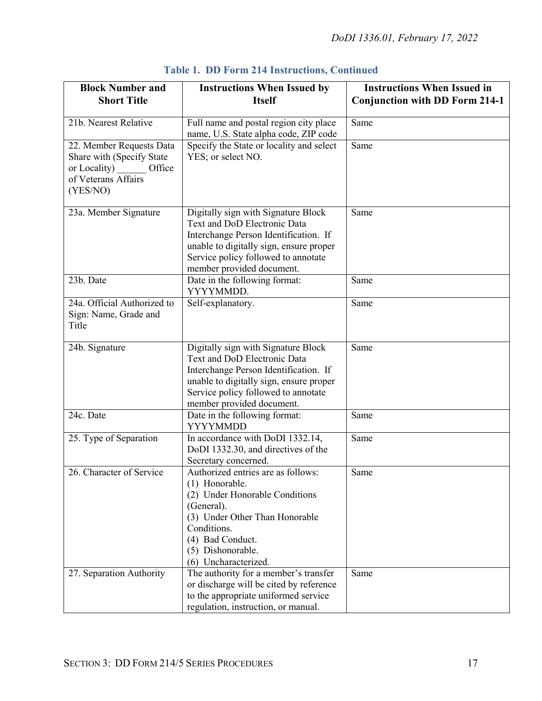| <b>Block Number and</b><br><b>Short Title</b>                                                                   | <b>Instructions When Issued by</b><br><b>Itself</b>                                                                                                                                                                         | <b>Instructions When Issued in</b><br><b>Conjunction with DD Form 214-1</b> |
|-----------------------------------------------------------------------------------------------------------------|-----------------------------------------------------------------------------------------------------------------------------------------------------------------------------------------------------------------------------|-----------------------------------------------------------------------------|
| 21b. Nearest Relative                                                                                           | Full name and postal region city place<br>name, U.S. State alpha code, ZIP code                                                                                                                                             | Same                                                                        |
| 22. Member Requests Data<br>Share with (Specify State<br>or Locality) Office<br>of Veterans Affairs<br>(YES/NO) | Specify the State or locality and select<br>YES; or select NO.                                                                                                                                                              | Same                                                                        |
| 23a. Member Signature                                                                                           | Digitally sign with Signature Block<br>Text and DoD Electronic Data<br>Interchange Person Identification. If<br>unable to digitally sign, ensure proper<br>Service policy followed to annotate<br>member provided document. | Same                                                                        |
| 23b. Date                                                                                                       | Date in the following format:<br>YYYYMMDD.                                                                                                                                                                                  | Same                                                                        |
| 24a. Official Authorized to<br>Sign: Name, Grade and<br>Title                                                   | Self-explanatory.                                                                                                                                                                                                           | Same                                                                        |
| 24b. Signature                                                                                                  | Digitally sign with Signature Block<br>Text and DoD Electronic Data<br>Interchange Person Identification. If<br>unable to digitally sign, ensure proper<br>Service policy followed to annotate<br>member provided document. | Same                                                                        |
| 24c. Date                                                                                                       | Date in the following format:<br><b>YYYYMMDD</b>                                                                                                                                                                            | Same                                                                        |
| 25. Type of Separation                                                                                          | In accordance with DoDI 1332.14,<br>DoDI 1332.30, and directives of the<br>Secretary concerned.                                                                                                                             | Same                                                                        |
| 26. Character of Service                                                                                        | Authorized entries are as follows:<br>(1) Honorable.<br>(2) Under Honorable Conditions<br>(General).<br>(3) Under Other Than Honorable<br>Conditions.<br>(4) Bad Conduct.<br>(5) Dishonorable.<br>(6) Uncharacterized.      | Same                                                                        |
| 27. Separation Authority                                                                                        | The authority for a member's transfer<br>or discharge will be cited by reference<br>to the appropriate uniformed service<br>regulation, instruction, or manual.                                                             | Same                                                                        |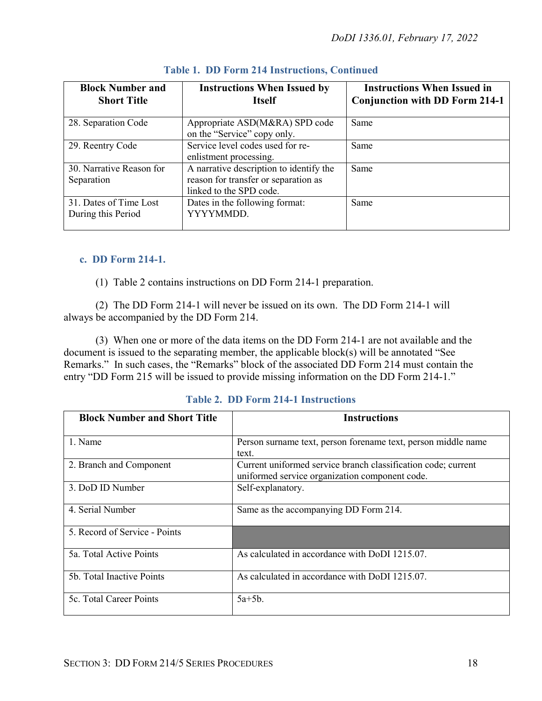| <b>Block Number and</b><br><b>Short Title</b> | <b>Instructions When Issued by</b><br><b>Itself</b>                                                        | <b>Instructions When Issued in</b><br><b>Conjunction with DD Form 214-1</b> |
|-----------------------------------------------|------------------------------------------------------------------------------------------------------------|-----------------------------------------------------------------------------|
| 28. Separation Code                           | Appropriate ASD(M&RA) SPD code<br>on the "Service" copy only.                                              | Same                                                                        |
| 29. Reentry Code                              | Service level codes used for re-<br>enlistment processing.                                                 | Same                                                                        |
| 30. Narrative Reason for<br>Separation        | A narrative description to identify the<br>reason for transfer or separation as<br>linked to the SPD code. | Same                                                                        |
| 31. Dates of Time Lost<br>During this Period  | Dates in the following format:<br>YYYYMMDD.                                                                | Same                                                                        |

#### <span id="page-17-0"></span>**c. DD Form 214-1.**

(1) Table 2 contains instructions on DD Form 214-1 preparation.

(2) The DD Form 214-1 will never be issued on its own. The DD Form 214-1 will always be accompanied by the DD Form 214.

(3) When one or more of the data items on the DD Form 214-1 are not available and the document is issued to the separating member, the applicable block(s) will be annotated "See Remarks." In such cases, the "Remarks" block of the associated DD Form 214 must contain the entry "DD Form 215 will be issued to provide missing information on the DD Form 214-1."

|  |  | Table 2. DD Form 214-1 Instructions |
|--|--|-------------------------------------|
|  |  |                                     |

| <b>Block Number and Short Title</b> | <b>Instructions</b>                                                                                             |
|-------------------------------------|-----------------------------------------------------------------------------------------------------------------|
| 1. Name                             | Person surname text, person forename text, person middle name<br>text.                                          |
| 2. Branch and Component             | Current uniformed service branch classification code; current<br>uniformed service organization component code. |
| 3. DoD ID Number                    | Self-explanatory.                                                                                               |
| 4. Serial Number                    | Same as the accompanying DD Form 214.                                                                           |
| 5. Record of Service - Points       |                                                                                                                 |
| 5a. Total Active Points             | As calculated in accordance with DoDI 1215.07.                                                                  |
| 5b. Total Inactive Points           | As calculated in accordance with DoDI 1215.07.                                                                  |
| 5c. Total Career Points             | $5a+5b$ .                                                                                                       |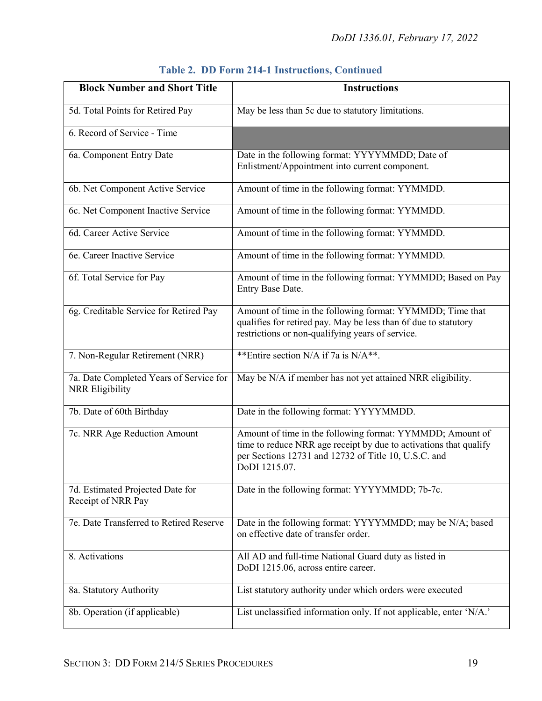| <b>Block Number and Short Title</b>                        | <b>Instructions</b>                                                                                                                                                                                     |
|------------------------------------------------------------|---------------------------------------------------------------------------------------------------------------------------------------------------------------------------------------------------------|
| 5d. Total Points for Retired Pay                           | May be less than 5c due to statutory limitations.                                                                                                                                                       |
| 6. Record of Service - Time                                |                                                                                                                                                                                                         |
| 6a. Component Entry Date                                   | Date in the following format: YYYYMMDD; Date of<br>Enlistment/Appointment into current component.                                                                                                       |
| 6b. Net Component Active Service                           | Amount of time in the following format: YYMMDD.                                                                                                                                                         |
| 6c. Net Component Inactive Service                         | Amount of time in the following format: YYMMDD.                                                                                                                                                         |
| 6d. Career Active Service                                  | Amount of time in the following format: YYMMDD.                                                                                                                                                         |
| 6e. Career Inactive Service                                | Amount of time in the following format: YYMMDD.                                                                                                                                                         |
| 6f. Total Service for Pay                                  | Amount of time in the following format: YYMMDD; Based on Pay<br>Entry Base Date.                                                                                                                        |
| 6g. Creditable Service for Retired Pay                     | Amount of time in the following format: YYMMDD; Time that<br>qualifies for retired pay. May be less than 6f due to statutory<br>restrictions or non-qualifying years of service.                        |
| 7. Non-Regular Retirement (NRR)                            | **Entire section N/A if 7a is N/A**.                                                                                                                                                                    |
| 7a. Date Completed Years of Service for<br>NRR Eligibility | May be N/A if member has not yet attained NRR eligibility.                                                                                                                                              |
| 7b. Date of 60th Birthday                                  | Date in the following format: YYYYMMDD.                                                                                                                                                                 |
| 7c. NRR Age Reduction Amount                               | Amount of time in the following format: YYMMDD; Amount of<br>time to reduce NRR age receipt by due to activations that qualify<br>per Sections 12731 and 12732 of Title 10, U.S.C. and<br>DoDI 1215.07. |
| 7d. Estimated Projected Date for<br>Receipt of NRR Pay     | Date in the following format: YYYYMMDD; 7b-7c.                                                                                                                                                          |
| 7e. Date Transferred to Retired Reserve                    | Date in the following format: YYYYMMDD; may be N/A; based<br>on effective date of transfer order.                                                                                                       |
| 8. Activations                                             | All AD and full-time National Guard duty as listed in<br>DoDI 1215.06, across entire career.                                                                                                            |
| 8a. Statutory Authority                                    | List statutory authority under which orders were executed                                                                                                                                               |
| 8b. Operation (if applicable)                              | List unclassified information only. If not applicable, enter 'N/A.'                                                                                                                                     |

|  |  |  | <b>Table 2. DD Form 214-1 Instructions, Continued</b> |  |
|--|--|--|-------------------------------------------------------|--|
|--|--|--|-------------------------------------------------------|--|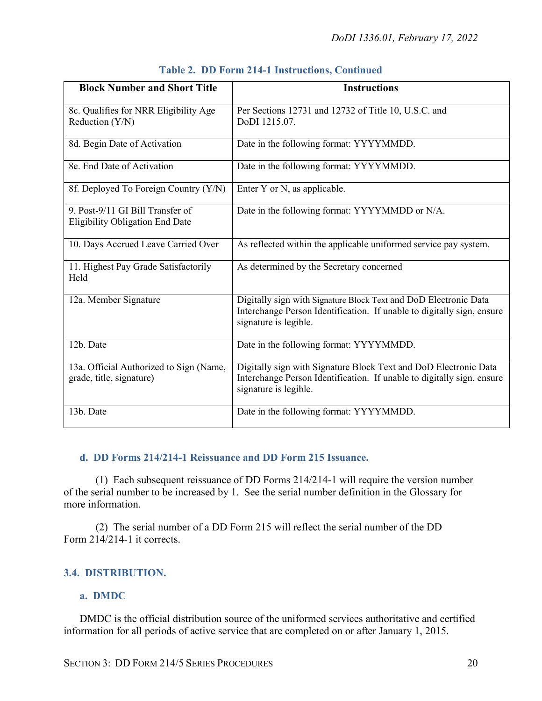| <b>Block Number and Short Title</b>                                        | <b>Instructions</b>                                                                                                                                                 |
|----------------------------------------------------------------------------|---------------------------------------------------------------------------------------------------------------------------------------------------------------------|
| 8c. Qualifies for NRR Eligibility Age<br>Reduction (Y/N)                   | Per Sections 12731 and 12732 of Title 10, U.S.C. and<br>DoDI 1215.07.                                                                                               |
| 8d. Begin Date of Activation                                               | Date in the following format: YYYYMMDD.                                                                                                                             |
| 8e. End Date of Activation                                                 | Date in the following format: YYYYMMDD.                                                                                                                             |
| 8f. Deployed To Foreign Country (Y/N)                                      | Enter Y or N, as applicable.                                                                                                                                        |
| 9. Post-9/11 GI Bill Transfer of<br><b>Eligibility Obligation End Date</b> | Date in the following format: YYYYMMDD or N/A.                                                                                                                      |
| 10. Days Accrued Leave Carried Over                                        | As reflected within the applicable uniformed service pay system.                                                                                                    |
| 11. Highest Pay Grade Satisfactorily<br>Held                               | As determined by the Secretary concerned                                                                                                                            |
| 12a. Member Signature                                                      | Digitally sign with Signature Block Text and DoD Electronic Data<br>Interchange Person Identification. If unable to digitally sign, ensure<br>signature is legible. |
| 12b. Date                                                                  | Date in the following format: YYYYMMDD.                                                                                                                             |
| 13a. Official Authorized to Sign (Name,<br>grade, title, signature)        | Digitally sign with Signature Block Text and DoD Electronic Data<br>Interchange Person Identification. If unable to digitally sign, ensure<br>signature is legible. |
| 13b. Date                                                                  | Date in the following format: YYYYMMDD.                                                                                                                             |

|  |  |  | <b>Table 2. DD Form 214-1 Instructions, Continued</b> |  |
|--|--|--|-------------------------------------------------------|--|
|--|--|--|-------------------------------------------------------|--|

#### <span id="page-19-0"></span>**d. DD Forms 214/214-1 Reissuance and DD Form 215 Issuance.**

(1) Each subsequent reissuance of DD Forms 214/214-1 will require the version number of the serial number to be increased by 1. See the serial number definition in the Glossary for more information.

(2) The serial number of a DD Form 215 will reflect the serial number of the DD Form 214/214-1 it corrects.

#### <span id="page-19-1"></span>**3.4. DISTRIBUTION.**

#### <span id="page-19-2"></span>**a. DMDC**

DMDC is the official distribution source of the uniformed services authoritative and certified information for all periods of active service that are completed on or after January 1, 2015.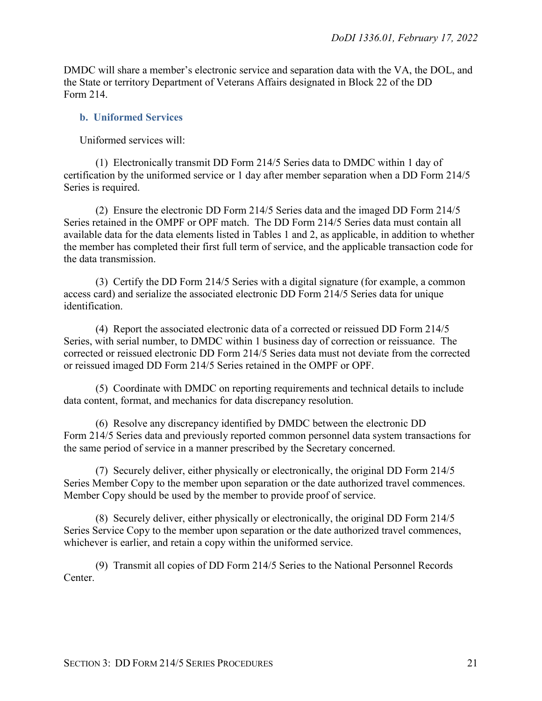DMDC will share a member's electronic service and separation data with the VA, the DOL, and the State or territory Department of Veterans Affairs designated in Block 22 of the DD Form 214.

#### <span id="page-20-0"></span>**b. Uniformed Services**

Uniformed services will:

(1) Electronically transmit DD Form 214/5 Series data to DMDC within 1 day of certification by the uniformed service or 1 day after member separation when a DD Form 214/5 Series is required.

(2) Ensure the electronic DD Form 214/5 Series data and the imaged DD Form 214/5 Series retained in the OMPF or OPF match. The DD Form 214/5 Series data must contain all available data for the data elements listed in Tables 1 and 2, as applicable, in addition to whether the member has completed their first full term of service, and the applicable transaction code for the data transmission.

(3) Certify the DD Form 214/5 Series with a digital signature (for example, a common access card) and serialize the associated electronic DD Form 214/5 Series data for unique identification.

(4) Report the associated electronic data of a corrected or reissued DD Form 214/5 Series, with serial number, to DMDC within 1 business day of correction or reissuance. The corrected or reissued electronic DD Form 214/5 Series data must not deviate from the corrected or reissued imaged DD Form 214/5 Series retained in the OMPF or OPF.

(5) Coordinate with DMDC on reporting requirements and technical details to include data content, format, and mechanics for data discrepancy resolution.

(6) Resolve any discrepancy identified by DMDC between the electronic DD Form 214/5 Series data and previously reported common personnel data system transactions for the same period of service in a manner prescribed by the Secretary concerned.

(7) Securely deliver, either physically or electronically, the original DD Form 214/5 Series Member Copy to the member upon separation or the date authorized travel commences. Member Copy should be used by the member to provide proof of service.

(8) Securely deliver, either physically or electronically, the original DD Form 214/5 Series Service Copy to the member upon separation or the date authorized travel commences, whichever is earlier, and retain a copy within the uniformed service.

(9) Transmit all copies of DD Form 214/5 Series to the National Personnel Records Center.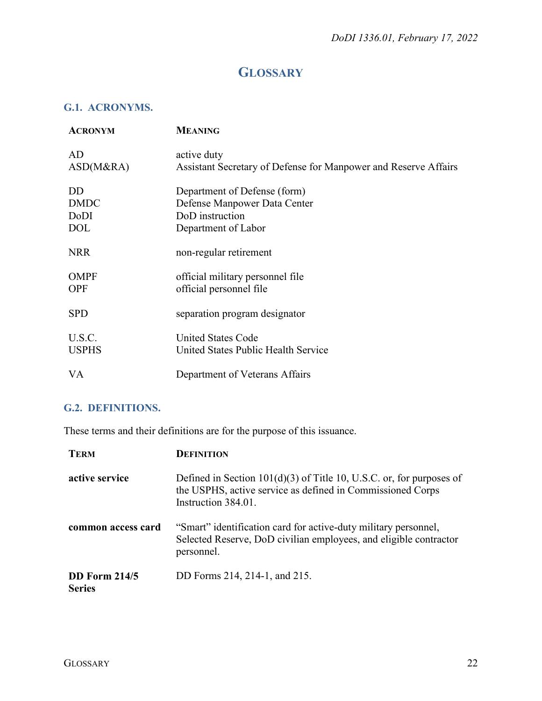## **GLOSSARY**

#### <span id="page-21-1"></span><span id="page-21-0"></span>**G.1. ACRONYMS.**

| <b>ACRONYM</b> | <b>MEANING</b>                                                  |
|----------------|-----------------------------------------------------------------|
| AD             | active duty                                                     |
| ASD(M&RA)      | Assistant Secretary of Defense for Manpower and Reserve Affairs |
| <b>DD</b>      | Department of Defense (form)                                    |
| <b>DMDC</b>    | Defense Manpower Data Center                                    |
| DoDI           | DoD instruction                                                 |
| <b>DOL</b>     | Department of Labor                                             |
| <b>NRR</b>     | non-regular retirement                                          |
| <b>OMPF</b>    | official military personnel file                                |
| <b>OPF</b>     | official personnel file                                         |
| <b>SPD</b>     | separation program designator                                   |
| U.S.C.         | <b>United States Code</b>                                       |
| <b>USPHS</b>   | United States Public Health Service                             |
| VA             | Department of Veterans Affairs                                  |

## <span id="page-21-2"></span>**G.2. DEFINITIONS.**

These terms and their definitions are for the purpose of this issuance.

| <b>TERM</b>                           | <b>DEFINITION</b>                                                                                                                                           |
|---------------------------------------|-------------------------------------------------------------------------------------------------------------------------------------------------------------|
| active service                        | Defined in Section $101(d)(3)$ of Title 10, U.S.C. or, for purposes of<br>the USPHS, active service as defined in Commissioned Corps<br>Instruction 384.01. |
| common access card                    | "Smart" identification card for active-duty military personnel,<br>Selected Reserve, DoD civilian employees, and eligible contractor<br>personnel.          |
| <b>DD</b> Form 214/5<br><b>Series</b> | DD Forms 214, 214-1, and 215.                                                                                                                               |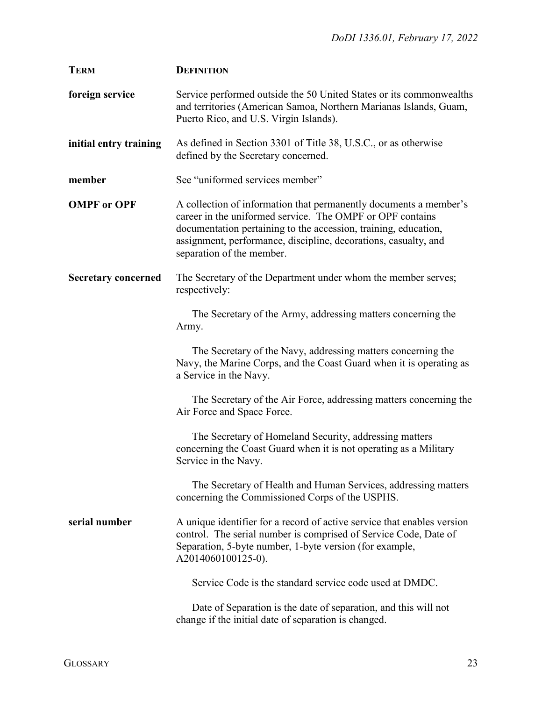| <b>TERM</b>                | <b>DEFINITION</b>                                                                                                                                                                                                                                                                                 |
|----------------------------|---------------------------------------------------------------------------------------------------------------------------------------------------------------------------------------------------------------------------------------------------------------------------------------------------|
| foreign service            | Service performed outside the 50 United States or its commonwealths<br>and territories (American Samoa, Northern Marianas Islands, Guam,<br>Puerto Rico, and U.S. Virgin Islands).                                                                                                                |
| initial entry training     | As defined in Section 3301 of Title 38, U.S.C., or as otherwise<br>defined by the Secretary concerned.                                                                                                                                                                                            |
| member                     | See "uniformed services member"                                                                                                                                                                                                                                                                   |
| <b>OMPF</b> or OPF         | A collection of information that permanently documents a member's<br>career in the uniformed service. The OMPF or OPF contains<br>documentation pertaining to the accession, training, education,<br>assignment, performance, discipline, decorations, casualty, and<br>separation of the member. |
| <b>Secretary concerned</b> | The Secretary of the Department under whom the member serves;<br>respectively:                                                                                                                                                                                                                    |
|                            | The Secretary of the Army, addressing matters concerning the<br>Army.                                                                                                                                                                                                                             |
|                            | The Secretary of the Navy, addressing matters concerning the<br>Navy, the Marine Corps, and the Coast Guard when it is operating as<br>a Service in the Navy.                                                                                                                                     |
|                            | The Secretary of the Air Force, addressing matters concerning the<br>Air Force and Space Force.                                                                                                                                                                                                   |
|                            | The Secretary of Homeland Security, addressing matters<br>concerning the Coast Guard when it is not operating as a Military<br>Service in the Navy.                                                                                                                                               |
|                            | The Secretary of Health and Human Services, addressing matters<br>concerning the Commissioned Corps of the USPHS.                                                                                                                                                                                 |
| serial number              | A unique identifier for a record of active service that enables version<br>control. The serial number is comprised of Service Code, Date of<br>Separation, 5-byte number, 1-byte version (for example,<br>A2014060100125-0).                                                                      |
|                            | Service Code is the standard service code used at DMDC.                                                                                                                                                                                                                                           |
|                            | Date of Separation is the date of separation, and this will not<br>change if the initial date of separation is changed.                                                                                                                                                                           |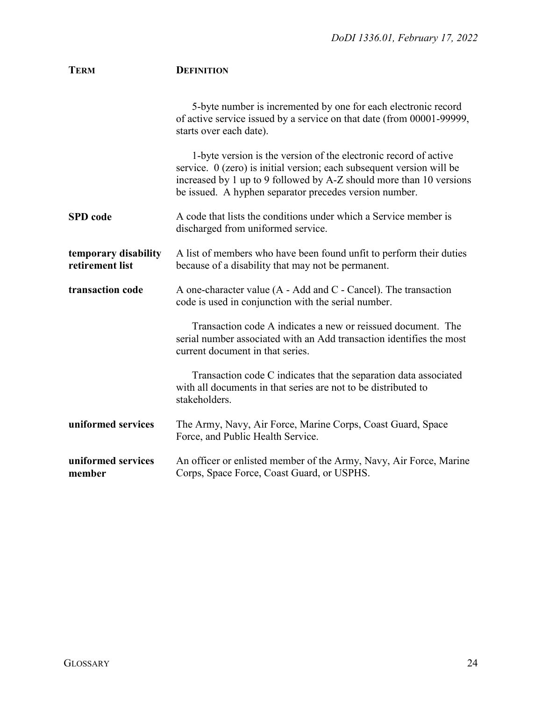| <b>TERM</b>                             | <b>DEFINITION</b>                                                                                                                                                                                                                                                            |
|-----------------------------------------|------------------------------------------------------------------------------------------------------------------------------------------------------------------------------------------------------------------------------------------------------------------------------|
|                                         | 5-byte number is incremented by one for each electronic record<br>of active service issued by a service on that date (from 00001-99999,<br>starts over each date).                                                                                                           |
|                                         | 1-byte version is the version of the electronic record of active<br>service. $0$ (zero) is initial version; each subsequent version will be<br>increased by 1 up to 9 followed by A-Z should more than 10 versions<br>be issued. A hyphen separator precedes version number. |
| <b>SPD</b> code                         | A code that lists the conditions under which a Service member is<br>discharged from uniformed service.                                                                                                                                                                       |
| temporary disability<br>retirement list | A list of members who have been found unfit to perform their duties<br>because of a disability that may not be permanent.                                                                                                                                                    |
| transaction code                        | A one-character value (A - Add and C - Cancel). The transaction<br>code is used in conjunction with the serial number.                                                                                                                                                       |
|                                         | Transaction code A indicates a new or reissued document. The<br>serial number associated with an Add transaction identifies the most<br>current document in that series.                                                                                                     |
|                                         | Transaction code C indicates that the separation data associated<br>with all documents in that series are not to be distributed to<br>stakeholders.                                                                                                                          |
| uniformed services                      | The Army, Navy, Air Force, Marine Corps, Coast Guard, Space<br>Force, and Public Health Service.                                                                                                                                                                             |
| uniformed services<br>member            | An officer or enlisted member of the Army, Navy, Air Force, Marine<br>Corps, Space Force, Coast Guard, or USPHS.                                                                                                                                                             |